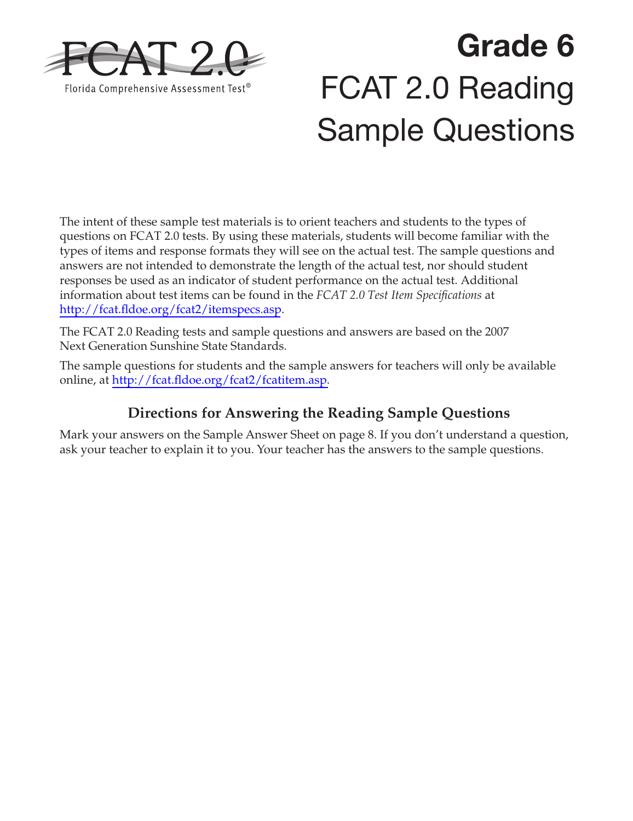

# **Grade 6**  FCAT 2.0 Reading Sample Questions

The intent of these sample test materials is to orient teachers and students to the types of questions on FCAT 2.0 tests. By using these materials, students will become familiar with the types of items and response formats they will see on the actual test. The sample questions and answers are not intended to demonstrate the length of the actual test, nor should student responses be used as an indicator of student performance on the actual test. Additional information about test items can be found in the *FCAT 2.0 Test Item Specifications* at <http://fcat.fldoe.org/fcat2/itemspecs.asp>.

The FCAT 2.0 Reading tests and sample questions and answers are based on the 2007 Next Generation Sunshine State Standards.

The sample questions for students and the sample answers for teachers will only be available online, at [http://fcat.fldoe.org/fcat2/fcatitem.asp.](http://fcat.fldoe.org/fcat2/fcatitem.asp)

### **Directions for Answering the Reading Sample Questions**

Mark your answers on the Sample Answer Sheet on [page 8.](#page-7-0) If you don't understand a question, ask your teacher to explain it to you. Your teacher has the answers to the sample questions.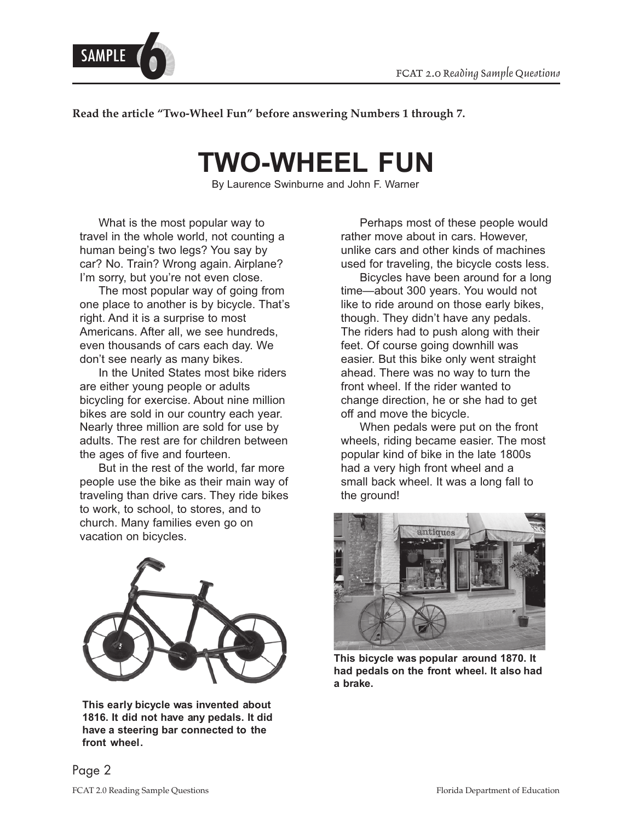

**Read the article "Two-Wheel Fun" before answering Numbers 1 through 7.** 

# **TWO-WHEEL FUN**

By Laurence Swinburne and John F. Warner

What is the most popular way to travel in the whole world, not counting a human being's two legs? You say by car? No. Train? Wrong again. Airplane? I'm sorry, but you're not even close.

The most popular way of going from one place to another is by bicycle. That's right. And it is a surprise to most Americans. After all, we see hundreds, even thousands of cars each day. We don't see nearly as many bikes.

In the United States most bike riders are either young people or adults bicycling for exercise. About nine million bikes are sold in our country each year. Nearly three million are sold for use by adults. The rest are for children between the ages of five and fourteen.

But in the rest of the world, far more people use the bike as their main way of traveling than drive cars. They ride bikes to work, to school, to stores, and to church. Many families even go on vacation on bicycles.



 **This early bicycle was invented about 1816. It did not have any pedals. It did have a steering bar connected to the front wheel.** 

Perhaps most of these people would rather move about in cars. However, unlike cars and other kinds of machines used for traveling, the bicycle costs less.

Bicycles have been around for a long time—about 300 years. You would not like to ride around on those early bikes, though. They didn't have any pedals. The riders had to push along with their feet. Of course going downhill was easier. But this bike only went straight ahead. There was no way to turn the front wheel. If the rider wanted to change direction, he or she had to get off and move the bicycle.

When pedals were put on the front wheels, riding became easier. The most popular kind of bike in the late 1800s had a very high front wheel and a small back wheel. It was a long fall to the ground!



**This bicycle was popular around 1870. It had pedals on the front wheel. It also had a brake.**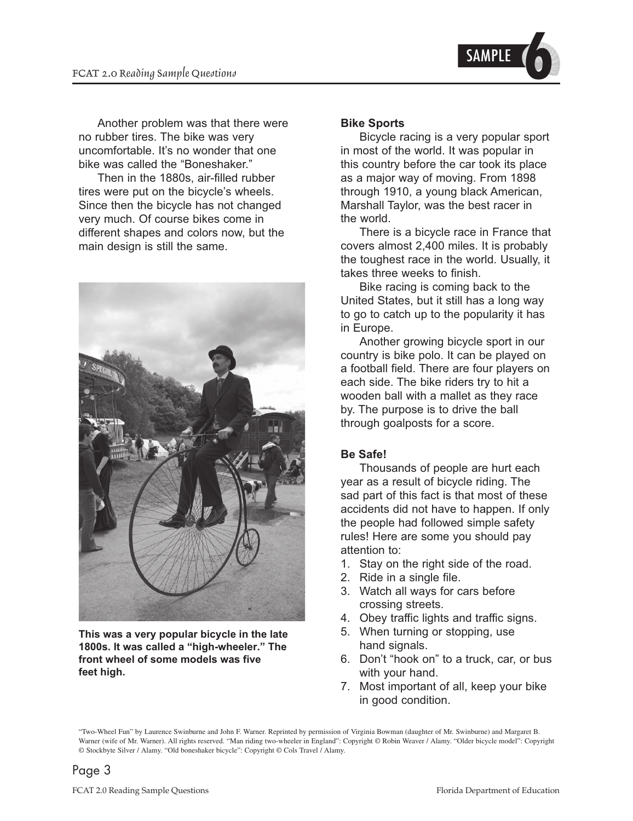

Another problem was that there were no rubber tires. The bike was very uncomfortable. It's no wonder that one bike was called the "Boneshaker."

Then in the 1880s, air-filled rubber tires were put on the bicycle's wheels. Since then the bicycle has not changed very much. Of course bikes come in different shapes and colors now, but the main design is still the same.



**This was a very popular bicycle in the late 1800s. It was called a "high-wheeler." The front wheel of some models was five feet high.** 

#### **Bike Sports**

Bicycle racing is a very popular sport in most of the world. It was popular in this country before the car took its place as a major way of moving. From 1898 through 1910, a young black American, Marshall Taylor, was the best racer in the world.

There is a bicycle race in France that covers almost 2,400 miles. It is probably the toughest race in the world. Usually, it takes three weeks to finish.

Bike racing is coming back to the United States, but it still has a long way to go to catch up to the popularity it has in Europe.

Another growing bicycle sport in our country is bike polo. It can be played on a football field. There are four players on each side. The bike riders try to hit a wooden ball with a mallet as they race by. The purpose is to drive the ball through goalposts for a score.

#### **Be Safe!**

Thousands of people are hurt each year as a result of bicycle riding. The sad part of this fact is that most of these accidents did not have to happen. If only the people had followed simple safety rules! Here are some you should pay attention to:

- 1. Stay on the right side of the road.
- 2. Ride in a single file.
- 3. Watch all ways for cars before crossing streets.
- 4. Obey traffic lights and traffic signs.
- 5. When turning or stopping, use hand signals.
- 6. Don't "hook on" to a truck, car, or bus with your hand.
- 7. Most important of all, keep your bike in good condition.

"Two-Wheel Fun" by Laurence Swinburne and John F. Warner. Reprinted by permission of Virginia Bowman (daughter of Mr. Swinburne) and Margaret B. Warner (wife of Mr. Warner). All rights reserved. "Man riding two-wheeler in England": Copyright © Robin Weaver / Alamy. "Older bicycle model": Copyright © Stockbyte Silver / Alamy. "Old boneshaker bicycle": Copyright © Cols Travel / Alamy.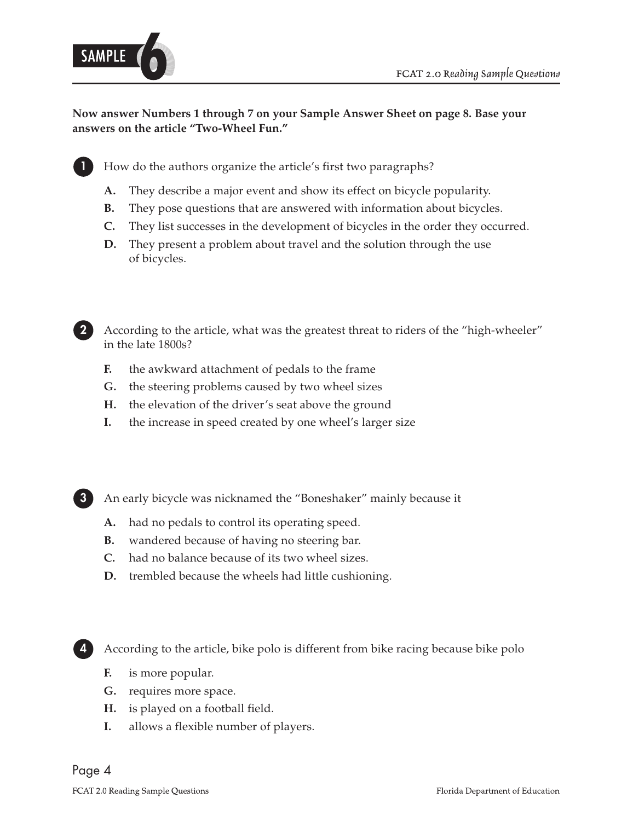

#### **Now answer Numbers 1 through 7 on your Sample Answer Sheet on [page 8.](#page-7-0) Base your answers on the article "Two-Wheel Fun."**

**1** How do the authors organize the article's first two paragraphs?

- A. They describe a major event and show its effect on bicycle popularity.
- **B.** They pose questions that are answered with information about bicycles.
- **C.** They list successes in the development of bicycles in the order they occurred.
- **D.** They present a problem about travel and the solution through the use of bicycles.



- **F.** the awkward attachment of pedals to the frame
- **G.** the steering problems caused by two wheel sizes
- **H.** the elevation of the driver's seat above the ground
- **I.** the increase in speed created by one wheel's larger size



- **A.** had no pedals to control its operating speed.
- **B.** wandered because of having no steering bar.
- **C.** had no balance because of its two wheel sizes.
- **D.** trembled because the wheels had little cushioning.



**4** According to the article, bike polo is different from bike racing because bike polo

- **F.**  is more popular.
- **G.**  requires more space.
- **H.** is played on a football field.
- **I.**  allows a flexible number of players.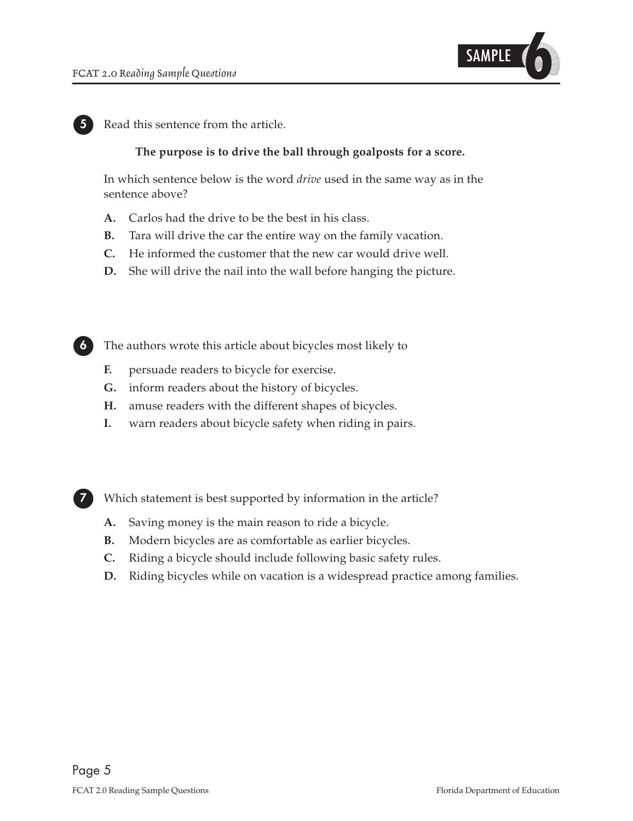

**5** Read this sentence from the article.

#### **The purpose is to drive the ball through goalposts for a score.**

In which sentence below is the word *drive* used in the same way as in the sentence above?

- **A.** Carlos had the drive to be the best in his class.
- **B.** Tara will drive the car the entire way on the family vacation.
- **C.** He informed the customer that the new car would drive well.
- **D.** She will drive the nail into the wall before hanging the picture.

**6** The authors wrote this article about bicycles most likely to

- **F.** persuade readers to bicycle for exercise.
- **G.** inform readers about the history of bicycles.
- **H.** amuse readers with the different shapes of bicycles.
- **I.** warn readers about bicycle safety when riding in pairs.

**7** Which statement is best supported by information in the article?

- **A.** Saving money is the main reason to ride a bicycle.
- **B.** Modern bicycles are as comfortable as earlier bicycles.
- **C.** Riding a bicycle should include following basic safety rules.
- **D.** Riding bicycles while on vacation is a widespread practice among families.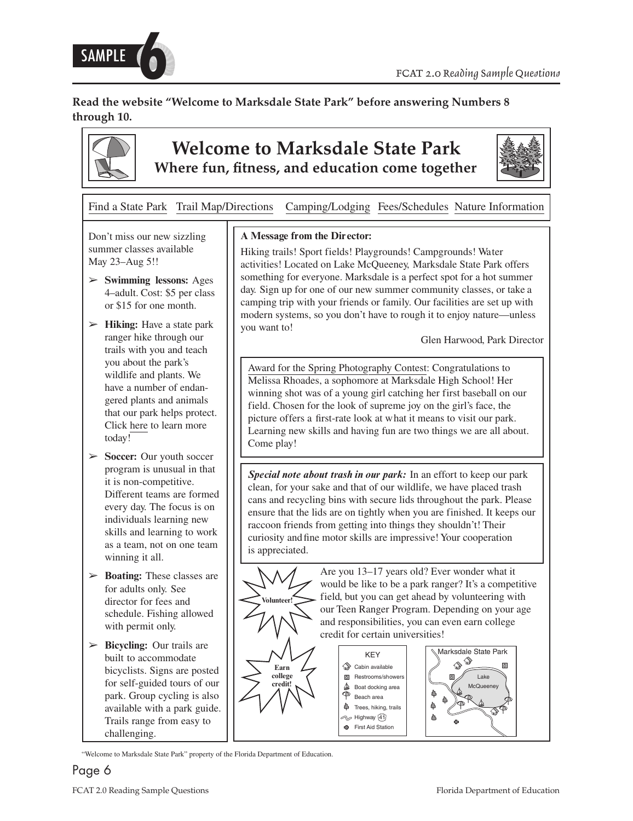

**Read the website "Welcome to Marksdale State Park" before answering Numbers 8 through 10.** 



## **Welcome to Marksdale State Park Where fun, fitness, and education come together**



Find a State Park Trail Map/Directions Camping/Lodging Fees/Schedules Nature Information

Don't miss our new sizzling summer classes available May 23–Aug 5!!

- **Swimming lessons:** Ages ➢ 4–adult. Cost: \$5 per class or \$15 for one month.
- ► **Hiking:** Have a state park ranger hike through our trails with you and teach you about the park's wildlife and plants. We have a number of endangered plants and animals that our park helps protect. Click here to learn more today!
- ► **Soccer:** Our youth soccer program is unusual in that it is non-competitive. Different teams are formed every day. The focus is on individuals learning new skills and learning to work as a team, not on one team winning it all.
- **►** Boating: These classes are for adults only. See director for fees and schedule. Fishing allowed with permit only.
- ► Bicycling: Our trails are built to accommodate bicyclists. Signs are posted for self-guided tours of our park. Group cycling is also available with a park guide. Trails range from easy to challenging.

"Welcome to Marksdale State Park" property of the Florida Department of Education.

#### **A Message from the Director:**

Hiking trails! Sport fields! Playgrounds! Campgrounds! Water activities! Located on Lake McQueeney, Marksdale State Park offers something for everyone. Marksdale is a perfect spot for a hot summer day. Sign up for one of our new summer community classes, or take a camping trip with your friends or family. Our facilities are set up with modern systems, so you don't have to rough it to enjoy nature—unless you want to!

Glen Harwood, Park Director

Award for the Spring Photography Contest: Congratulations to Melissa Rhoades, a sophomore at Marksdale High School! Her winning shot was of a young girl catching her first baseball on our field. Chosen for the look of supreme joy on the girl's face, the picture offers a first-rate look at what it means to visit our park. Learning new skills and having fun are two things we are all about. Come play!

*Special note about trash in our park:* In an effort to keep our park clean, for your sake and that of our wildlife, we have placed trash cans and recycling bins with secure lids throughout the park. Please ensure that the lids are on tightly when you are finished. It keeps our raccoon friends from getting into things they shouldn't! Their curiosity and fine motor skills are impressive! Your cooperation is appreciated.



Are you 13–17 years old? Ever wonder what it would be like to be a park ranger? It's a competitive field, but you can get ahead by volunteering with our Teen Ranger Program. Depending on your age and responsibilities, you can even earn college credit for certain universities!





Lake  $Mc$ Queen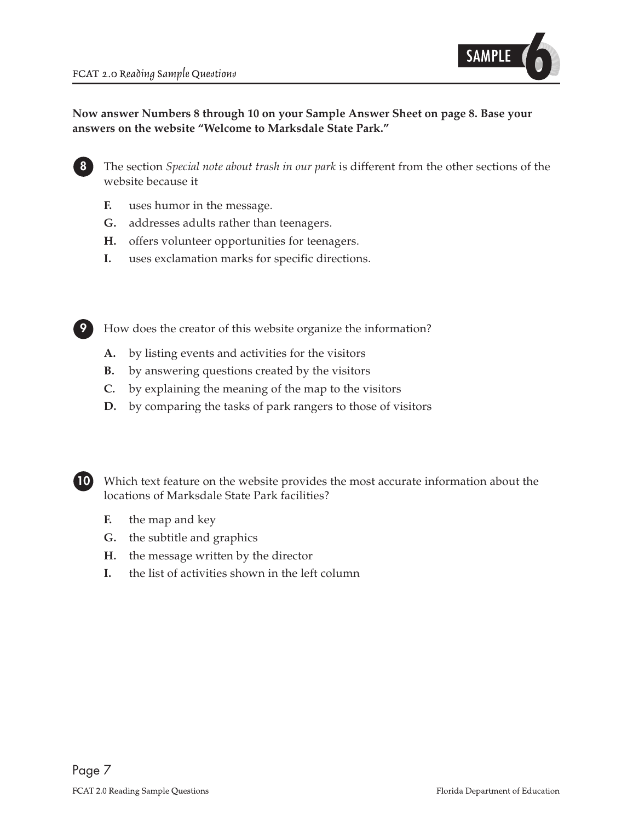

#### **Now answer Numbers 8 through 10 on your Sample Answer Sheet on [page 8.](#page-7-0) Base your answers on the website "Welcome to Marksdale State Park."**



**8** The section *Special note about trash in our park* is different from the other sections of the website because it

- **F.** uses humor in the message.
- **G.** addresses adults rather than teenagers.
- **H.** offers volunteer opportunities for teenagers.
- **I.** uses exclamation marks for specific directions.



**9** How does the creator of this website organize the information?

- **A.** by listing events and activities for the visitors
- **B.** by answering questions created by the visitors
- **C.** by explaining the meaning of the map to the visitors
- **D.** by comparing the tasks of park rangers to those of visitors



**10** Which text feature on the website provides the most accurate information about the locations of Marksdale State Park facilities?

- **F.** the map and key
- **G.** the subtitle and graphics
- **H.** the message written by the director
- **I.** the list of activities shown in the left column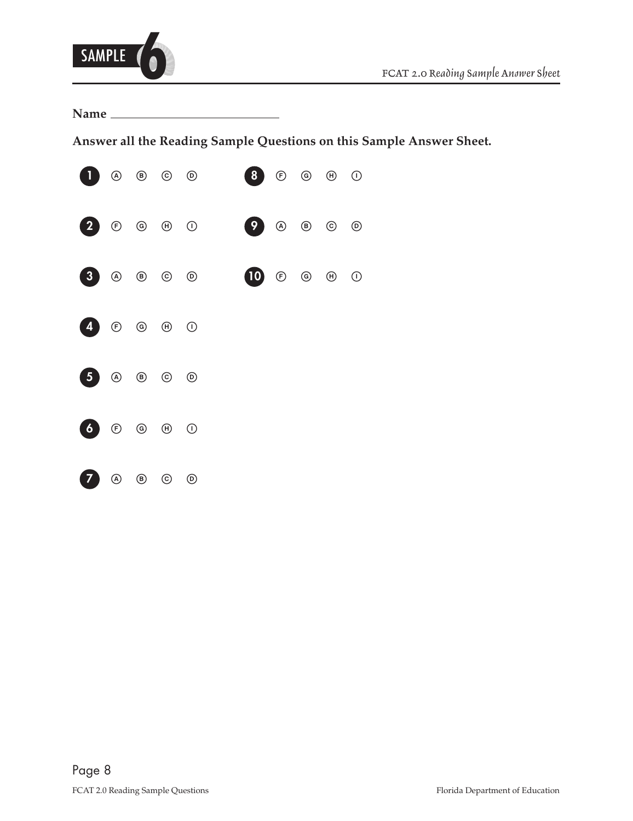<span id="page-7-0"></span>

**Name** 

**Answer all the Reading Sample Questions on this Sample Answer Sheet.**